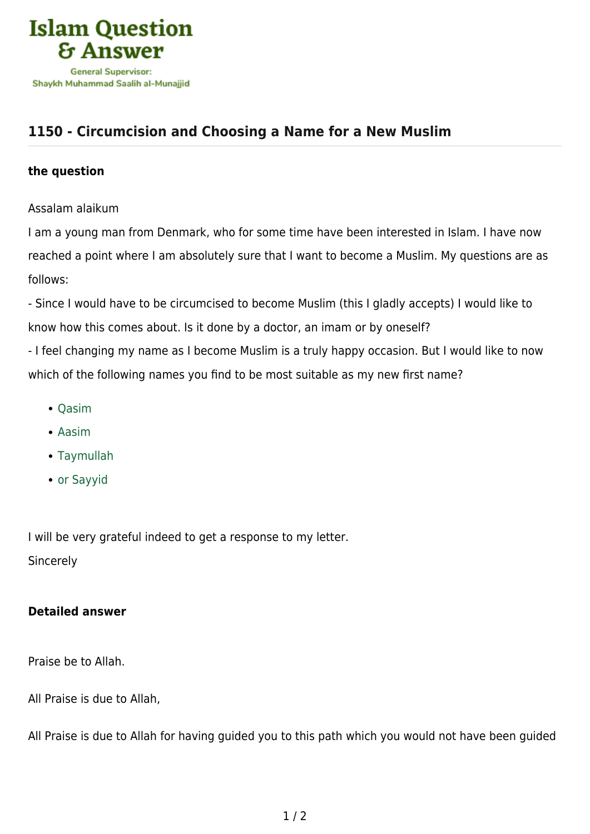

## **[1150 - Circumcision and Choosing a Name for a New Muslim](https://islamqa.com/en/answers/1150/circumcision-and-choosing-a-name-for-a-new-muslim)**

## **the question**

Assalam alaikum

I am a young man from Denmark, who for some time have been interested in Islam. I have now reached a point where I am absolutely sure that I want to become a Muslim. My questions are as follows:

- Since I would have to be circumcised to become Muslim (this I gladly accepts) I would like to know how this comes about. Is it done by a doctor, an imam or by oneself?

- I feel changing my name as I become Muslim is a truly happy occasion. But I would like to now which of the following names you find to be most suitable as my new first name?

- Qasim
- Aasim
- Taymullah
- or Sayyid

I will be very grateful indeed to get a response to my letter. **Sincerely** 

## **Detailed answer**

Praise be to Allah.

All Praise is due to Allah,

All Praise is due to Allah for having guided you to this path which you would not have been guided